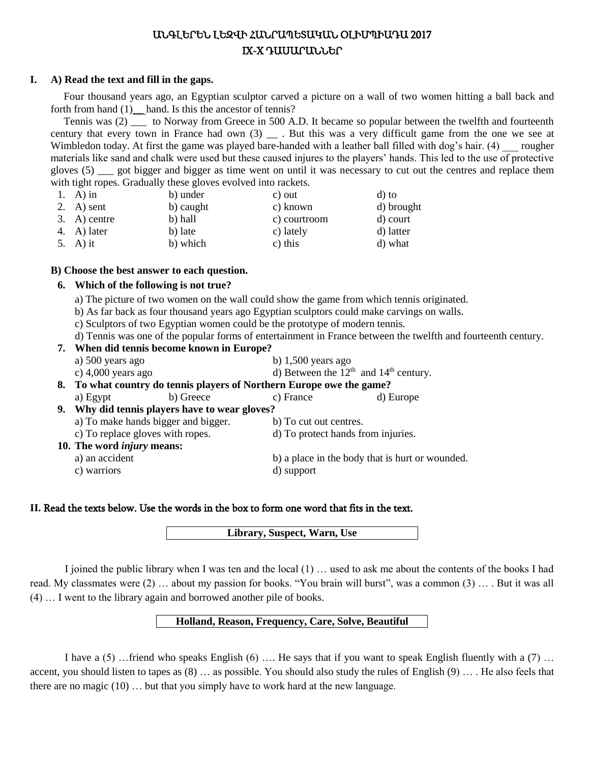# ԱՆԳԼԵՐԵՆ ԼԵԶՎԻ ՀԱՆՐԱՊԵՏԱԿԱՆ ՕԼԻՄՊԻԱԴԱ 2017 IX-X ԴԱՍԱՐԱՆՆԵՐ

## **I. A) Read the text and fill in the gaps.**

Four thousand years ago, an Egyptian sculptor carved a picture on a wall of two women hitting a ball back and forth from hand (1) hand. Is this the ancestor of tennis?

Tennis was (2) \_\_\_ to Norway from Greece in 500 A.D. It became so popular between the twelfth and fourteenth century that every town in France had own (3) . But this was a very difficult game from the one we see at Wimbledon today. At first the game was played bare-handed with a leather ball filled with dog's hair. (4) rougher materials like sand and chalk were used but these caused injures to the players' hands. This led to the use of protective gloves (5) \_\_\_ got bigger and bigger as time went on until it was necessary to cut out the centres and replace them with tight ropes. Gradually these gloves evolved into rackets.

| 1. A) in       | b) under  | c) out       | d) to      |
|----------------|-----------|--------------|------------|
| 2. A) sent     | b) caught | c) known     | d) brought |
| $3. A)$ centre | b) hall   | c) courtroom | d) court   |
| 4. A) later    | b) late   | c) lately    | d) latter  |
| 5. A) it       | b) which  | c) this      | d) what    |

## **B) Choose the best answer to each question.**

## **6. Which of the following is not true?**

- a) The picture of two women on the wall could show the game from which tennis originated.
- b) As far back as four thousand years ago Egyptian sculptors could make carvings on walls.
- c) Sculptors of two Egyptian women could be the prototype of modern tennis.
- d) Tennis was one of the popular forms of entertainment in France between the twelfth and fourteenth century.

## **7. When did tennis become known in Europe?**

- a) 500 years ago b) 1,500 years ago
- c) 4,000 years ago d) Between the  $12<sup>th</sup>$  and  $14<sup>th</sup>$  century.

# **8. To what country do tennis players of Northern Europe owe the game?**

| a) Egypt                                       | b) Greece | c) France              | d) Europe                                       |
|------------------------------------------------|-----------|------------------------|-------------------------------------------------|
| 9. Why did tennis players have to wear gloves? |           |                        |                                                 |
| a) To make hands bigger and bigger.            |           | b) To cut out centres. |                                                 |
| c) To replace gloves with ropes.               |           |                        | d) To protect hands from injuries.              |
| 10. The word <i>injury</i> means:              |           |                        |                                                 |
| a) an accident                                 |           |                        | b) a place in the body that is hurt or wounded. |
| c) warriors                                    |           | d) support             |                                                 |
|                                                |           |                        |                                                 |

## **II.** Read the texts below. Use the words in the box to form one word that fits in the text.

**Library, Suspect, Warn, Use**

I joined the public library when I was ten and the local (1) … used to ask me about the contents of the books I had read. My classmates were (2) … about my passion for books. "You brain will burst", was a common (3) … . But it was all (4) … I went to the library again and borrowed another pile of books.

## **Holland, Reason, Frequency, Care, Solve, Beautiful**

I have a  $(5)$  …friend who speaks English  $(6)$  …. He says that if you want to speak English fluently with a  $(7)$  … accent, you should listen to tapes as (8) … as possible. You should also study the rules of English (9) … . He also feels that there are no magic  $(10)$  ... but that you simply have to work hard at the new language.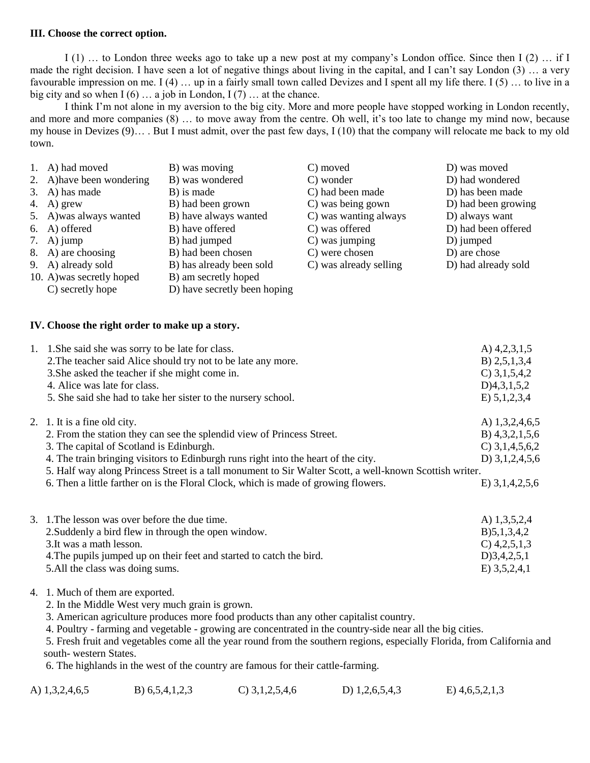#### **III. Choose the correct option.**

I (1) … to London three weeks ago to take up a new post at my company's London office. Since then I (2) … if I made the right decision. I have seen a lot of negative things about living in the capital, and I can't say London (3) … a very favourable impression on me. I (4) … up in a fairly small town called Devizes and I spent all my life there. I (5) … to live in a big city and so when  $I(6)$  ... a job in London,  $I(7)$  ... at the chance.

I think I'm not alone in my aversion to the big city. More and more people have stopped working in London recently, and more and more companies (8) … to move away from the centre. Oh well, it's too late to change my mind now, because my house in Devizes  $(9)$ …. But I must admit, over the past few days, I (10) that the company will relocate me back to my old town.

| 1. A) had moved           | B) was moving                | C) moved               | D) was moved        |
|---------------------------|------------------------------|------------------------|---------------------|
| 2. A) have been wondering | B) was wondered              | C) wonder              | D) had wondered     |
| 3. A) has made            | B) is made                   | C) had been made       | D) has been made    |
| 4. A) grew                | B) had been grown            | C) was being gown      | D) had been growing |
| 5. A) was always wanted   | B) have always wanted        | C) was wanting always  | D) always want      |
| 6. A) offered             | B) have offered              | C) was offered         | D) had been offered |
| 7. A) jump                | B) had jumped                | C) was jumping         | D) jumped           |
| 8. A) are choosing        | B) had been chosen           | C) were chosen         | D) are chose        |
| 9. A) already sold        | B) has already been sold     | C) was already selling | D) had already sold |
| 10. A) was secretly hoped | B) am secretly hoped         |                        |                     |
| C) secretly hope          | D) have secretly been hoping |                        |                     |

#### **IV. Choose the right order to make up a story.**

| 1. 1. She said she was sorry to be late for class.<br>2. The teacher said Alice should try not to be late any more.<br>3. She asked the teacher if she might come in.<br>4. Alice was late for class.<br>5. She said she had to take her sister to the nursery school.                                                                                                                                                                    | A) $4,2,3,1,5$<br>B) $2,5,1,3,4$<br>$C$ ) 3, 1, 5, 4, 2<br>D)4,3,1,5,2<br>E) 5,1,2,3,4                 |
|-------------------------------------------------------------------------------------------------------------------------------------------------------------------------------------------------------------------------------------------------------------------------------------------------------------------------------------------------------------------------------------------------------------------------------------------|--------------------------------------------------------------------------------------------------------|
| 2. 1. It is a fine old city.<br>2. From the station they can see the splendid view of Princess Street.<br>3. The capital of Scotland is Edinburgh.<br>4. The train bringing visitors to Edinburgh runs right into the heart of the city.<br>5. Half way along Princess Street is a tall monument to Sir Walter Scott, a well-known Scottish writer.<br>6. Then a little farther on is the Floral Clock, which is made of growing flowers. | A) $1,3,2,4,6,5$<br>B) $4,3,2,1,5,6$<br>$C$ ) 3,1,4,5,6,2<br>D) $3,1,2,4,5,6$<br>$E)$ 3, 1, 4, 2, 5, 6 |
| 3. 1. The lesson was over before the due time.<br>2. Suddenly a bird flew in through the open window.<br>3. It was a math lesson.<br>4. The pupils jumped up on their feet and started to catch the bird.<br>5. All the class was doing sums.                                                                                                                                                                                             | A) $1,3,5,2,4$<br>B)5,1,3,4,2<br>$C$ ) 4,2,5,1,3<br>D)3,4,2,5,1<br>$E)$ 3,5,2,4,1                      |

## 4. 1. Much of them are exported.

- 2. In the Middle West very much grain is grown.
- 3. American agriculture produces more food products than any other capitalist country.
- 4. Poultry farming and vegetable growing are concentrated in the country-side near all the big cities.

 5. Fresh fruit and vegetables come all the year round from the southern regions, especially Florida, from California and south- western States.

6. The highlands in the west of the country are famous for their cattle-farming.

| A) 1,3,2,4,6,5 | B) $6,5,4,1,2,3$ | $C$ ) 3, 1, 2, 5, 4, 6 | D) $1,2,6,5,4,3$ | $E)$ 4,6,5,2,1,3 |
|----------------|------------------|------------------------|------------------|------------------|
|                |                  |                        |                  |                  |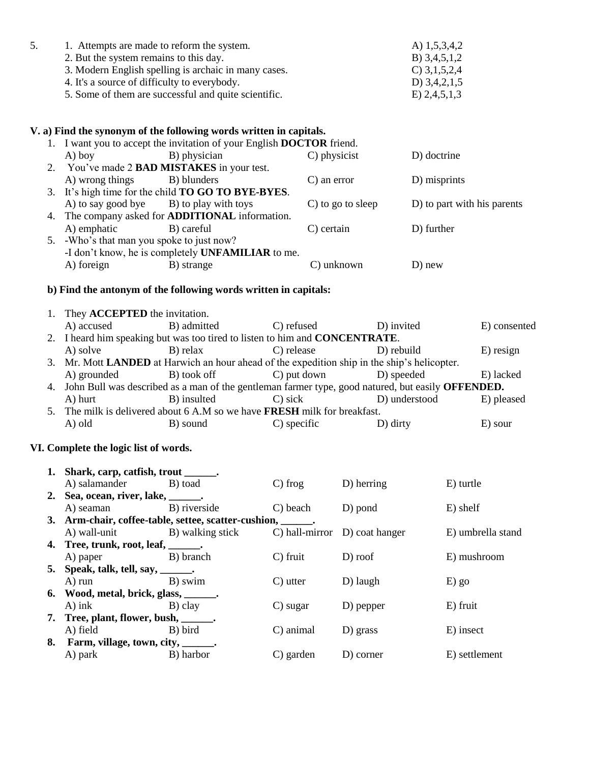| 1. Attempts are made to reform the system.           | A) $1,5,3,4,2$ |
|------------------------------------------------------|----------------|
| 2. But the system remains to this day.               | B) $3,4,5,1,2$ |
| 3. Modern English spelling is archaic in many cases. | C) $3,1,5,2,4$ |
| 4. It's a source of difficulty to everybody.         | D) $3,4,2,1,5$ |
| 5. Some of them are successful and quite scientific. | E) 2,4,5,1,3   |

## **V. a) Find the synonym of the following words written in capitals.**

|    | 1. I want you to accept the invitation of your English DOCTOR friend. |                                                            |                   |                             |  |  |  |
|----|-----------------------------------------------------------------------|------------------------------------------------------------|-------------------|-----------------------------|--|--|--|
|    | $A)$ boy                                                              | B) physician                                               | C) physicist      | D) doctrine                 |  |  |  |
|    |                                                                       | 2. You've made 2 <b>BAD MISTAKES</b> in your test.         |                   |                             |  |  |  |
|    | A) wrong things                                                       | B) blunders                                                | C) an error       | D) misprints                |  |  |  |
|    |                                                                       | 3. It's high time for the child <b>TO GO TO BYE-BYES</b> . |                   |                             |  |  |  |
|    | A) to say good bye B) to play with toys                               |                                                            | C) to go to sleep | D) to part with his parents |  |  |  |
|    |                                                                       | 4. The company asked for <b>ADDITIONAL</b> information.    |                   |                             |  |  |  |
|    | A) emphatic                                                           | B) careful                                                 | C) certain        | D) further                  |  |  |  |
| 5. | -Who's that man you spoke to just now?                                |                                                            |                   |                             |  |  |  |
|    | -I don't know, he is completely UNFAMILIAR to me.                     |                                                            |                   |                             |  |  |  |
|    | A) foreign                                                            | B) strange                                                 | C) unknown        | D) new                      |  |  |  |
|    |                                                                       |                                                            |                   |                             |  |  |  |

# **b) Find the antonym of the following words written in capitals:**

| 1. They <b>ACCEPTED</b> the invitation.                                                              |             |                |               |                                                                                                                                                                                                                                                                         |
|------------------------------------------------------------------------------------------------------|-------------|----------------|---------------|-------------------------------------------------------------------------------------------------------------------------------------------------------------------------------------------------------------------------------------------------------------------------|
| A) accused                                                                                           | B) admitted | C) refused     | D) invited    | E) consented                                                                                                                                                                                                                                                            |
|                                                                                                      |             |                |               |                                                                                                                                                                                                                                                                         |
| A) solve                                                                                             | B) relax    | C) release     | D) rebuild    | $E$ ) resign                                                                                                                                                                                                                                                            |
|                                                                                                      |             |                |               |                                                                                                                                                                                                                                                                         |
| A) grounded                                                                                          | B) took off | C) put down    | D) speeded    | E) lacked                                                                                                                                                                                                                                                               |
| 4. John Bull was described as a man of the gentleman farmer type, good natured, but easily OFFENDED. |             |                |               |                                                                                                                                                                                                                                                                         |
| A) hurt                                                                                              | B) insulted | C) sick        | D) understood | E) pleased                                                                                                                                                                                                                                                              |
|                                                                                                      |             |                |               |                                                                                                                                                                                                                                                                         |
| A) old                                                                                               | B) sound    | $C$ ) specific | $D)$ dirty    | E) sour                                                                                                                                                                                                                                                                 |
|                                                                                                      |             |                |               | 2. I heard him speaking but was too tired to listen to him and <b>CONCENTRATE</b> .<br>3. Mr. Mott LANDED at Harwich an hour ahead of the expedition ship in the ship's helicopter.<br>5. The milk is delivered about 6 A.M so we have <b>FRESH</b> milk for breakfast. |

# **VI. Complete the logic list of words.**

| 1. Shark, carp, catfish, trout ______.              |                                                               |               |                                           |                   |
|-----------------------------------------------------|---------------------------------------------------------------|---------------|-------------------------------------------|-------------------|
| A) salamander B) toad                               |                                                               | $\Gamma$ frog | D) herring                                | E) turtle         |
| 2. Sea, ocean, river, lake, _______.                |                                                               |               |                                           |                   |
| A) seaman B) riverside                              |                                                               | C) beach      | D) pond                                   | E) shelf          |
|                                                     | 3. Arm-chair, coffee-table, settee, scatter-cushion, _______. |               |                                           |                   |
| A) wall-unit B) walking stick                       |                                                               |               | $\Box$ ) hall-mirror $\Box$ ) coat hanger | E) umbrella stand |
| 4. Tree, trunk, root, leaf, $\_\_\_\_\_\_\_\_\_\$ . |                                                               |               |                                           |                   |
| A) paper B) branch                                  |                                                               | $C$ ) fruit   | D) roof                                   | E) mushroom       |
| 5. Speak, talk, tell, say, $\_\_\_\_\_\$ .          |                                                               |               |                                           |                   |
| A) run B) swim                                      |                                                               | C) utter      | D) laugh                                  | $E)$ go           |
| 6. Wood, metal, brick, glass, ______.               |                                                               |               |                                           |                   |
| A) ink B) clay                                      |                                                               | C) sugar      | D) pepper                                 | E) fruit          |
| 7. Tree, plant, flower, bush, _______.              |                                                               |               |                                           |                   |
| A) field B) bird                                    |                                                               | C) animal     | D) grass                                  | E) insect         |
| 8. Farm, village, town, city, _______.              |                                                               |               |                                           |                   |
| A) park B) harbor                                   |                                                               | C) garden     | D) corner                                 | E) settlement     |